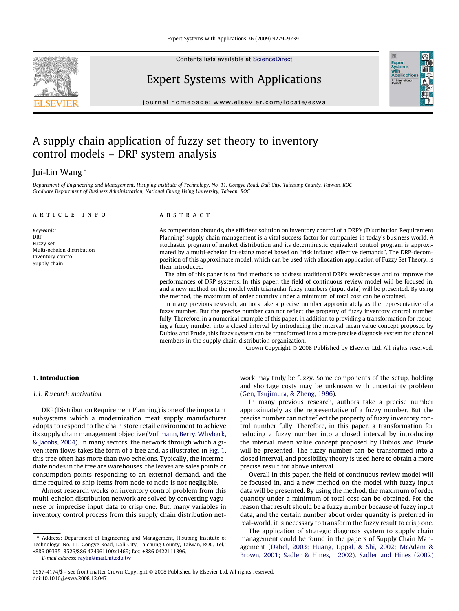

Contents lists available at [ScienceDirect](http://www.sciencedirect.com/science/journal/09574174)

# Expert Systems with Applications

journal homepage: [www.elsevier.com/locate/eswa](http://www.elsevier.com/locate/eswa)

# A supply chain application of fuzzy set theory to inventory control models – DRP system analysis

# Jui-Lin Wang \*

Department of Engineering and Management, Hisuping Institute of Technology, No. 11, Gongye Road, Dali City, Taichung County, Taiwan, ROC Graduate Department of Business Administration, National Chung Hsing University, Taiwan, ROC

# article info

Keywords: DRP Fuzzy set Multi-echelon distribution Inventory control Supply chain

# **ABSTRACT**

As competition abounds, the efficient solution on inventory control of a DRP's (Distribution Requirement Planning) supply chain management is a vital success factor for companies in today's business world. A stochastic program of market distribution and its deterministic equivalent control program is approximated by a multi-echelon lot-sizing model based on ''risk inflated effective demands". The DRP-decomposition of this approximate model, which can be used with allocation application of Fuzzy Set Theory, is then introduced.

The aim of this paper is to find methods to address traditional DRP's weaknesses and to improve the performances of DRP systems. In this paper, the field of continuous review model will be focused in, and a new method on the model with triangular fuzzy numbers (input data) will be presented. By using the method, the maximum of order quantity under a minimum of total cost can be obtained.

In many previous research, authors take a precise number approximately as the representative of a fuzzy number. But the precise number can not reflect the property of fuzzy inventory control number fully. Therefore, in a numerical example of this paper, in addition to providing a transformation for reducing a fuzzy number into a closed interval by introducing the interval mean value concept proposed by Dubios and Prude, this fuzzy system can be transformed into a more precise diagnosis system for channel members in the supply chain distribution organization.

Crown Copyright © 2008 Published by Elsevier Ltd. All rights reserved.

Expert<br>Syster<br>with<br>Applic

# 1. Introduction

# 1.1. Research motivation

DRP (Distribution Requirement Planning) is one of the important subsystems which a modernization meat supply manufacturer adopts to respond to the chain store retail environment to achieve its supply chain management objective ([Vollmann, Berry, Whybark,](#page--1-0) [& Jacobs, 2004\)](#page--1-0). In many sectors, the network through which a given item flows takes the form of a tree and, as illustrated in [Fig. 1,](#page-1-0) this tree often has more than two echelons. Typically, the intermediate nodes in the tree are warehouses, the leaves are sales points or consumption points responding to an external demand, and the time required to ship items from node to node is not negligible.

Almost research works on inventory control problem from this multi-echelon distribution network are solved by converting vagunese or imprecise input data to crisp one. But, many variables in inventory control process from this supply chain distribution net-

\* Address: Department of Engineering and Management, Hisuping Institute of Technology, No. 11, Gongye Road, Dali City, Taichung County, Taiwan, ROC. Tel.: +886 0933513526/886 424961100x1469; fax: +886 0422111396.

E-mail address: [raylin@mail.hit.edu.tw](mailto:raylin@mail.hit.edu.tw)

work may truly be fuzzy. Some components of the setup, holding and shortage costs may be unknown with uncertainty problem ([Gen, Tsujimura, & Zheng, 1996\)](#page--1-0).

In many previous research, authors take a precise number approximately as the representative of a fuzzy number. But the precise number can not reflect the property of fuzzy inventory control number fully. Therefore, in this paper, a transformation for reducing a fuzzy number into a closed interval by introducing the interval mean value concept proposed by Dubios and Prude will be presented. The fuzzy number can be transformed into a closed interval, and possibility theory is used here to obtain a more precise result for above interval.

Overall in this paper, the field of continuous review model will be focused in, and a new method on the model with fuzzy input data will be presented. By using the method, the maximum of order quantity under a minimum of total cost can be obtained. For the reason that result should be a fuzzy number because of fuzzy input data, and the certain number about order quantity is preferred in real-world, it is necessary to transform the fuzzy result to crisp one.

The application of strategic diagnosis system to supply chain management could be found in the papers of Supply Chain Management ([Dahel, 2003; Huang, Uppal, & Shi, 2002; McAdam &](#page--1-0) [Brown, 2001; Sadler & Hines, 2002](#page--1-0)). [Sadler and Hines \(2002\)](#page--1-0)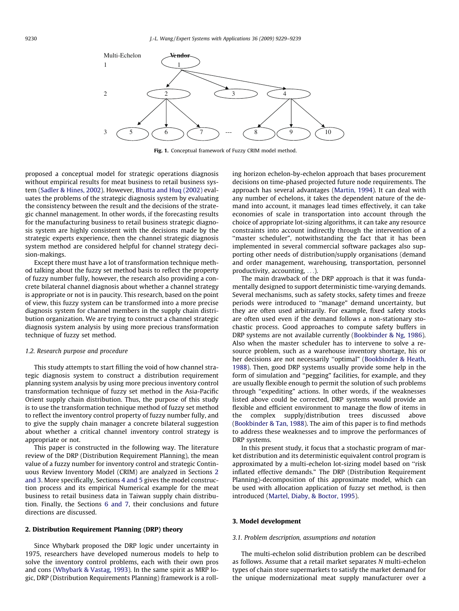<span id="page-1-0"></span>

Fig. 1. Conceptual framework of Fuzzy CRIM model method.

proposed a conceptual model for strategic operations diagnosis without empirical results for meat business to retail business system ([Sadler & Hines, 2002\)](#page--1-0). However, [Bhutta and Huq \(2002\)](#page--1-0) evaluates the problems of the strategic diagnosis system by evaluating the consistency between the result and the decisions of the strategic channel management. In other words, if the forecasting results for the manufacturing business to retail business strategic diagnosis system are highly consistent with the decisions made by the strategic experts experience, then the channel strategic diagnosis system method are considered helpful for channel strategy decision-makings.

Except there must have a lot of transformation technique method talking about the fuzzy set method basis to reflect the property of fuzzy number fully, however, the research also providing a concrete bilateral channel diagnosis about whether a channel strategy is appropriate or not is in paucity. This research, based on the point of view, this fuzzy system can be transformed into a more precise diagnosis system for channel members in the supply chain distribution organization. We are trying to construct a channel strategic diagnosis system analysis by using more precious transformation technique of fuzzy set method.

## 1.2. Research purpose and procedure

This study attempts to start filling the void of how channel strategic diagnosis system to construct a distribution requirement planning system analysis by using more precious inventory control transformation technique of fuzzy set method in the Asia-Pacific Orient supply chain distribution. Thus, the purpose of this study is to use the transformation technique method of fuzzy set method to reflect the inventory control property of fuzzy number fully, and to give the supply chain manager a concrete bilateral suggestion about whether a critical channel inventory control strategy is appropriate or not.

This paper is constructed in the following way. The literature review of the DRP (Distribution Requirement Planning), the mean value of a fuzzy number for inventory control and strategic Continuous Review Inventory Model (CRIM) are analyzed in Sections 2 and 3. More specifically, Sections [4 and 5](#page--1-0) gives the model construction process and its empirical Numerical example for the meat business to retail business data in Taiwan supply chain distribution. Finally, the Sections [6 and 7](#page--1-0), their conclusions and future directions are discussed.

# 2. Distribution Requirement Planning (DRP) theory

Since Whybark proposed the DRP logic under uncertainty in 1975, researchers have developed numerous models to help to solve the inventory control problems, each with their own pros and cons [\(Whybark & Vastag, 1993](#page--1-0)). In the same spirit as MRP logic, DRP (Distribution Requirements Planning) framework is a rolling horizon echelon-by-echelon approach that bases procurement decisions on time-phased projected future node requirements. The approach has several advantages ([Martin, 1994\)](#page--1-0). It can deal with any number of echelons, it takes the dependent nature of the demand into account, it manages lead times effectively, it can take economies of scale in transportation into account through the choice of appropriate lot-sizing algorithms, it can take any resource constraints into account indirectly through the intervention of a "master scheduler", notwithstanding the fact that it has been implemented in several commercial software packages also supporting other needs of distribution/supply organisations (demand and order management, warehousing, transportation, personnel productivity, accounting, ...).

The main drawback of the DRP approach is that it was fundamentally designed to support deterministic time-varying demands. Several mechanisms, such as safety stocks, safety times and freeze periods were introduced to ''manage" demand uncertainty, but they are often used arbitrarily. For example, fixed safety stocks are often used even if the demand follows a non-stationary stochastic process. Good approaches to compute safety buffers in DRP systems are not available currently [\(Bookbinder & Ng, 1986\)](#page--1-0). Also when the master scheduler has to intervene to solve a resource problem, such as a warehouse inventory shortage, his or her decisions are not necessarily ''optimal" [\(Bookbinder & Heath,](#page--1-0) [1988\)](#page--1-0). Then, good DRP systems usually provide some help in the form of simulation and ''pegging" facilities, for example, and they are usually flexible enough to permit the solution of such problems through ''expediting" actions. In other words, if the weaknesses listed above could be corrected, DRP systems would provide an flexible and efficient environment to manage the flow of items in the complex supply/distribution trees discussed above ([Bookbinder & Tan, 1988](#page--1-0)). The aim of this paper is to find methods to address these weaknesses and to improve the performances of DRP systems.

In this present study, it focus that a stochastic program of market distribution and its deterministic equivalent control program is approximated by a multi-echelon lot-sizing model based on ''risk inflated effective demands." The DRP (Distribution Requirement Planning)-decomposition of this approximate model, which can be used with allocation application of fuzzy set method, is then introduced ([Martel, Diaby, & Boctor, 1995\)](#page--1-0).

#### 3. Model development

## 3.1. Problem description, assumptions and notation

The multi-echelon solid distribution problem can be described as follows. Assume that a retail market separates N multi-echelon types of chain store supermarkets to satisfy the market demand for the unique modernizational meat supply manufacturer over a